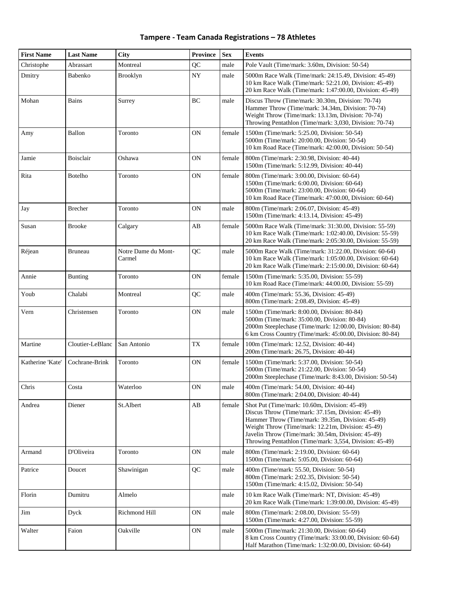| <b>First Name</b> | <b>Last Name</b> | <b>City</b>                   | <b>Province</b> | <b>Sex</b> | <b>Events</b>                                                                                                                                                                                                                                                                                                                 |
|-------------------|------------------|-------------------------------|-----------------|------------|-------------------------------------------------------------------------------------------------------------------------------------------------------------------------------------------------------------------------------------------------------------------------------------------------------------------------------|
| Christophe        | Abrassart        | Montreal                      | QC              | male       | Pole Vault (Time/mark: 3.60m, Division: 50-54)                                                                                                                                                                                                                                                                                |
| Dmitry            | Babenko          | <b>Brooklyn</b>               | ${\rm NY}$      | male       | 5000m Race Walk (Time/mark: 24:15.49, Division: 45-49)<br>10 km Race Walk (Time/mark: 52:21.00, Division: 45-49)<br>20 km Race Walk (Time/mark: 1:47:00.00, Division: 45-49)                                                                                                                                                  |
| Mohan             | <b>Bains</b>     | Surrey                        | BC              | male       | Discus Throw (Time/mark: 30.30m, Division: 70-74)<br>Hammer Throw (Time/mark: 34.34m, Division: 70-74)<br>Weight Throw (Time/mark: 13.13m, Division: 70-74)<br>Throwing Pentathlon (Time/mark: 3,030, Division: 70-74)                                                                                                        |
| Amy               | Ballon           | Toronto                       | <b>ON</b>       | female     | 1500m (Time/mark: 5:25.00, Division: 50-54)<br>5000m (Time/mark: 20:00.00, Division: 50-54)<br>10 km Road Race (Time/mark: 42:00.00, Division: 50-54)                                                                                                                                                                         |
| Jamie             | <b>Boisclair</b> | Oshawa                        | ON              | female     | 800m (Time/mark: 2:30.98, Division: 40-44)<br>1500m (Time/mark: 5:12.99, Division: 40-44)                                                                                                                                                                                                                                     |
| Rita              | <b>Botelho</b>   | Toronto                       | <b>ON</b>       | female     | 800m (Time/mark: 3:00.00, Division: 60-64)<br>1500m (Time/mark: 6:00.00, Division: 60-64)<br>5000m (Time/mark: 23:00.00, Division: 60-64)<br>10 km Road Race (Time/mark: 47:00.00, Division: 60-64)                                                                                                                           |
| Jay               | <b>Brecher</b>   | Toronto                       | <b>ON</b>       | male       | 800m (Time/mark: 2:06.07, Division: 45-49)<br>1500m (Time/mark: 4:13.14, Division: 45-49)                                                                                                                                                                                                                                     |
| Susan             | <b>Brooke</b>    | Calgary                       | AB              | female     | 5000m Race Walk (Time/mark: 31:30.00, Division: 55-59)<br>10 km Race Walk (Time/mark: 1:02:40.00, Division: 55-59)<br>20 km Race Walk (Time/mark: 2:05:30.00, Division: 55-59)                                                                                                                                                |
| Réjean            | <b>Bruneau</b>   | Notre Dame du Mont-<br>Carmel | QC              | male       | 5000m Race Walk (Time/mark: 31:22.00, Division: 60-64)<br>10 km Race Walk (Time/mark: 1:05:00.00, Division: 60-64)<br>20 km Race Walk (Time/mark: 2:15:00.00, Division: 60-64)                                                                                                                                                |
| Annie             | <b>Bunting</b>   | Toronto                       | ON              | female     | 1500m (Time/mark: 5:35.00, Division: 55-59)<br>10 km Road Race (Time/mark: 44:00.00, Division: 55-59)                                                                                                                                                                                                                         |
| Youb              | Chalabi          | Montreal                      | QC              | male       | 400m (Time/mark: 55.36, Division: 45-49)<br>800m (Time/mark: 2:08.49, Division: 45-49)                                                                                                                                                                                                                                        |
| Vern              | Christensen      | Toronto                       | <b>ON</b>       | male       | 1500m (Time/mark: 8:00.00, Division: 80-84)<br>5000m (Time/mark: 35:00.00, Division: 80-84)<br>2000m Steeplechase (Time/mark: 12:00.00, Division: 80-84)<br>6 km Cross Country (Time/mark: 45:00.00, Division: 80-84)                                                                                                         |
| Martine           | Cloutier-LeBlanc | San Antonio                   | <b>TX</b>       | female     | 100m (Time/mark: 12.52, Division: 40-44)<br>200m (Time/mark: 26.75, Division: 40-44)                                                                                                                                                                                                                                          |
| Katherine 'Kate'  | Cochrane-Brink   | Toronto                       | <b>ON</b>       | female     | 1500m (Time/mark: 5:37.00, Division: 50-54)<br>5000m (Time/mark: 21:22.00, Division: 50-54)<br>2000m Steeplechase (Time/mark: 8:43.00, Division: 50-54)                                                                                                                                                                       |
| Chris             | Costa            | Waterloo                      | <b>ON</b>       | male       | 400m (Time/mark: 54.00, Division: 40-44)<br>800m (Time/mark: 2:04.00, Division: 40-44)                                                                                                                                                                                                                                        |
| Andrea            | Diener           | St.Albert                     | AB              | female     | Shot Put (Time/mark: 10.60m, Division: 45-49)<br>Discus Throw (Time/mark: 37.15m, Division: 45-49)<br>Hammer Throw (Time/mark: 39.35m, Division: 45-49)<br>Weight Throw (Time/mark: 12.21m, Division: 45-49)<br>Javelin Throw (Time/mark: 30.54m, Division: 45-49)<br>Throwing Pentathlon (Time/mark: 3,554, Division: 45-49) |
| Armand            | D'Oliveira       | Toronto                       | 0N              | male       | 800m (Time/mark: 2:19.00, Division: 60-64)<br>1500m (Time/mark: 5:05.00, Division: 60-64)                                                                                                                                                                                                                                     |
| Patrice           | Doucet           | Shawinigan                    | QC              | male       | 400m (Time/mark: 55.50, Division: 50-54)<br>800m (Time/mark: 2:02.35, Division: 50-54)<br>1500m (Time/mark: 4:15.02, Division: 50-54)                                                                                                                                                                                         |
| Florin            | Dumitru          | Almelo                        |                 | male       | 10 km Race Walk (Time/mark: NT, Division: 45-49)<br>20 km Race Walk (Time/mark: 1:39:00.00, Division: 45-49)                                                                                                                                                                                                                  |
| Jim               | Dyck             | Richmond Hill                 | <b>ON</b>       | male       | 800m (Time/mark: 2:08.00, Division: 55-59)<br>1500m (Time/mark: 4:27.00, Division: 55-59)                                                                                                                                                                                                                                     |
| Walter            | Faion            | Oakville                      | <b>ON</b>       | male       | 5000m (Time/mark: 21:30.00, Division: 60-64)<br>8 km Cross Country (Time/mark: 33:00.00, Division: 60-64)<br>Half Marathon (Time/mark: 1:32:00.00, Division: 60-64)                                                                                                                                                           |

**Tampere - Team Canada Registrations – 78 Athletes**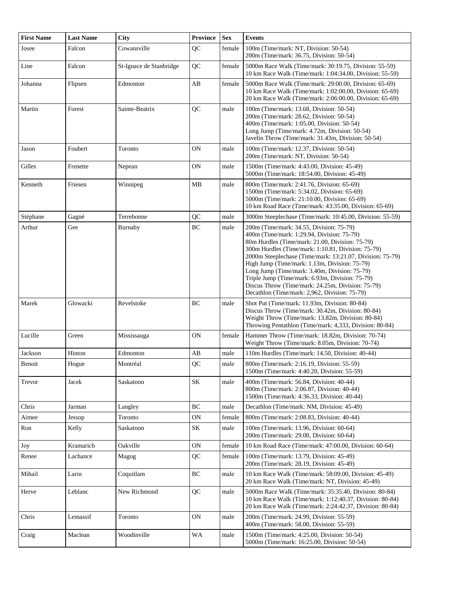| <b>First Name</b> | <b>Last Name</b> | <b>City</b>             | <b>Province</b> | <b>Sex</b> | <b>Events</b>                                                                                                                                                                                                                                                                                                                                                                                                                                                                                                           |
|-------------------|------------------|-------------------------|-----------------|------------|-------------------------------------------------------------------------------------------------------------------------------------------------------------------------------------------------------------------------------------------------------------------------------------------------------------------------------------------------------------------------------------------------------------------------------------------------------------------------------------------------------------------------|
| Josee             | Falcon           | Cowansville             | QC              | female     | 100m (Time/mark: NT, Division: 50-54)<br>200m (Time/mark: 36.75, Division: 50-54)                                                                                                                                                                                                                                                                                                                                                                                                                                       |
| Line              | Falcon           | St-Ignace de Stanbridge | QC              | female     | 5000m Race Walk (Time/mark: 30:19.75, Division: 55-59)<br>10 km Race Walk (Time/mark: 1:04:34.00, Division: 55-59)                                                                                                                                                                                                                                                                                                                                                                                                      |
| Johanna           | Flipsen          | Edmonton                | AB              | female     | 5000m Race Walk (Time/mark: 29:00.00, Division: 65-69)<br>10 km Race Walk (Time/mark: 1:02:00.00, Division: 65-69)<br>20 km Race Walk (Time/mark: 2:06:00.00, Division: 65-69)                                                                                                                                                                                                                                                                                                                                          |
| Martin            | Forest           | Sainte-Beatrix          | QC              | male       | 100m (Time/mark: 13.68, Division: 50-54)<br>200m (Time/mark: 28.62, Division: 50-54)<br>400m (Time/mark: 1:05.00, Division: 50-54)<br>Long Jump (Time/mark: 4.72m, Division: 50-54)<br>Javelin Throw (Time/mark: 31.43m, Division: 50-54)                                                                                                                                                                                                                                                                               |
| Jason             | Foubert          | Toronto                 | 0 <sub>N</sub>  | male       | 100m (Time/mark: 12.37, Division: 50-54)<br>200m (Time/mark: NT, Division: 50-54)                                                                                                                                                                                                                                                                                                                                                                                                                                       |
| Gilles            | Frenette         | Nepean                  | 0 <sub>N</sub>  | male       | 1500m (Time/mark: 4:43.00, Division: 45-49)<br>5000m (Time/mark: 18:54.00, Division: 45-49)                                                                                                                                                                                                                                                                                                                                                                                                                             |
| Kenneth           | Friesen          | Winnipeg                | MB              | male       | 800m (Time/mark: 2:41.76, Division: 65-69)<br>1500m (Time/mark: 5:34.02, Division: 65-69)<br>5000m (Time/mark: 21:10.00, Division: 65-69)<br>10 km Road Race (Time/mark: 43:35.00, Division: 65-69)                                                                                                                                                                                                                                                                                                                     |
| Stéphane          | Gagné            | Terrebonne              | QC              | male       | 3000m Steeplechase (Time/mark: 10:45.00, Division: 55-59)                                                                                                                                                                                                                                                                                                                                                                                                                                                               |
| Arthur            | Gee              | Burnaby                 | BC              | male       | 200m (Time/mark: 34.55, Division: 75-79)<br>400m (Time/mark: 1:29.94, Division: 75-79)<br>80m Hurdles (Time/mark: 21.00, Division: 75-79)<br>300m Hurdles (Time/mark: 1:10.81, Division: 75-79)<br>2000m Steeplechase (Time/mark: 13:21.07, Division: 75-79)<br>High Jump (Time/mark: 1.13m, Division: 75-79)<br>Long Jump (Time/mark: 3.40m, Division: 75-79)<br>Triple Jump (Time/mark: 6.93m, Division: 75-79)<br>Discus Throw (Time/mark: 24.25m, Division: 75-79)<br>Decathlon (Time/mark: 2,962, Division: 75-79) |
| Marek             | Glowacki         | Revelstoke              | BC              | male       | Shot Put (Time/mark: 11.93m, Division: 80-84)<br>Discus Throw (Time/mark: 30.42m, Division: 80-84)<br>Weight Throw (Time/mark: 13.82m, Division: 80-84)<br>Throwing Pentathlon (Time/mark: 4,333, Division: 80-84)                                                                                                                                                                                                                                                                                                      |
| Lucille           | Green            | Mississauga             | <b>ON</b>       | female     | Hammer Throw (Time/mark: 18.82m, Division: 70-74)<br>Weight Throw (Time/mark: 8.05m, Division: 70-74)                                                                                                                                                                                                                                                                                                                                                                                                                   |
| Jackson           | Hinton           | Edmonton                | AB              | male       | 110m Hurdles (Time/mark: 14.50, Division: 40-44)                                                                                                                                                                                                                                                                                                                                                                                                                                                                        |
| Benoit            | Hogue            | Montréal                | QC              | male       | 800m (Time/mark: 2:16.19, Division: 55-59)<br>1500m (Time/mark: 4:40.20, Division: 55-59)                                                                                                                                                                                                                                                                                                                                                                                                                               |
| Trevor            | Jacek            | Saskatoon               | SK              | male       | 400m (Time/mark: 56.84, Division: 40-44)<br>800m (Time/mark: 2:06.87, Division: 40-44)<br>1500m (Time/mark: 4:36.33, Division: 40-44)                                                                                                                                                                                                                                                                                                                                                                                   |
| Chris             | Jarman           | Langley                 | BC              | male       | Decathlon (Time/mark: NM, Division: 45-49)                                                                                                                                                                                                                                                                                                                                                                                                                                                                              |
| Aimee             | Jessop           | Toronto                 | ON              | female     | 800m (Time/mark: 2:08.83, Division: 40-44)                                                                                                                                                                                                                                                                                                                                                                                                                                                                              |
| Ron               | Kelly            | Saskatoon               | SK              | male       | 100m (Time/mark: 13.96, Division: 60-64)<br>200m (Time/mark: 29.00, Division: 60-64)                                                                                                                                                                                                                                                                                                                                                                                                                                    |
| Joy               | Kramarich        | Oakville                | ON              | female     | 10 km Road Race (Time/mark: 47:00.00, Division: 60-64)                                                                                                                                                                                                                                                                                                                                                                                                                                                                  |
| Renee             | Lachance         | Magog                   | QC              | female     | 100m (Time/mark: 13.79, Division: 45-49)<br>200m (Time/mark: 28.19, Division: 45-49)                                                                                                                                                                                                                                                                                                                                                                                                                                    |
| Mihail            | Larin            | Coquitlam               | BC              | male       | 10 km Race Walk (Time/mark: 58:09.00, Division: 45-49)<br>20 km Race Walk (Time/mark: NT, Division: 45-49)                                                                                                                                                                                                                                                                                                                                                                                                              |
| Herve             | Leblanc          | New Richmond            | QC              | male       | 5000m Race Walk (Time/mark: 35:35.40, Division: 80-84)<br>10 km Race Walk (Time/mark: 1:12:40.37, Division: 80-84)<br>20 km Race Walk (Time/mark: 2:24:42.37, Division: 80-84)                                                                                                                                                                                                                                                                                                                                          |
| Chris             | Lemassif         | Toronto                 | ON              | male       | 200m (Time/mark: 24.99, Division: 55-59)<br>400m (Time/mark: 58.00, Division: 55-59)                                                                                                                                                                                                                                                                                                                                                                                                                                    |
| Craig             | Maclean          | Woodinville             | WA              | male       | 1500m (Time/mark: 4:25.00, Division: 50-54)<br>5000m (Time/mark: 16:25.00, Division: 50-54)                                                                                                                                                                                                                                                                                                                                                                                                                             |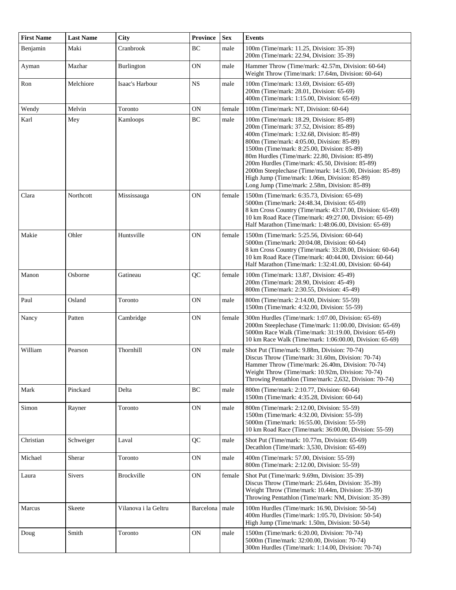| <b>First Name</b> | <b>Last Name</b> | <b>City</b>          | <b>Province</b> | <b>Sex</b> | <b>Events</b>                                                                                                                                                                                                                                                                                                                                                                                                                                                                                         |
|-------------------|------------------|----------------------|-----------------|------------|-------------------------------------------------------------------------------------------------------------------------------------------------------------------------------------------------------------------------------------------------------------------------------------------------------------------------------------------------------------------------------------------------------------------------------------------------------------------------------------------------------|
| Benjamin          | Maki             | Cranbrook            | BC              | male       | 100m (Time/mark: 11.25, Division: 35-39)<br>200m (Time/mark: 22.94, Division: 35-39)                                                                                                                                                                                                                                                                                                                                                                                                                  |
| Ayman             | Mazhar           | Burlington           | <b>ON</b>       | male       | Hammer Throw (Time/mark: 42.57m, Division: 60-64)<br>Weight Throw (Time/mark: 17.64m, Division: 60-64)                                                                                                                                                                                                                                                                                                                                                                                                |
| Ron               | Melchiore        | Isaac's Harbour      | <b>NS</b>       | male       | 100m (Time/mark: 13.69, Division: 65-69)<br>200m (Time/mark: 28.01, Division: 65-69)<br>400m (Time/mark: 1:15.00, Division: 65-69)                                                                                                                                                                                                                                                                                                                                                                    |
| Wendy             | Melvin           | Toronto              | 0N              | female     | 100m (Time/mark: NT, Division: 60-64)                                                                                                                                                                                                                                                                                                                                                                                                                                                                 |
| Karl              | Mey              | Kamloops             | BC              | male       | 100m (Time/mark: 18.29, Division: 85-89)<br>200m (Time/mark: 37.52, Division: 85-89)<br>400m (Time/mark: 1:32.68, Division: 85-89)<br>800m (Time/mark: 4:05.00, Division: 85-89)<br>1500m (Time/mark: 8:25.00, Division: 85-89)<br>80m Hurdles (Time/mark: 22.80, Division: 85-89)<br>200m Hurdles (Time/mark: 45.50, Division: 85-89)<br>2000m Steeplechase (Time/mark: 14:15.00, Division: 85-89)<br>High Jump (Time/mark: 1.06m, Division: 85-89)<br>Long Jump (Time/mark: 2.58m, Division: 85-89) |
| Clara             | Northcott        | Mississauga          | <b>ON</b>       | female     | 1500m (Time/mark: 6:35.73, Division: 65-69)<br>5000m (Time/mark: 24:48.34, Division: 65-69)<br>8 km Cross Country (Time/mark: 43:17.00, Division: 65-69)<br>10 km Road Race (Time/mark: 49:27.00, Division: 65-69)<br>Half Marathon (Time/mark: 1:48:06.00, Division: 65-69)                                                                                                                                                                                                                          |
| Makie             | Ohler            | Huntsville           | 0N              | female     | 1500m (Time/mark: 5:25.56, Division: 60-64)<br>5000m (Time/mark: 20:04.08, Division: 60-64)<br>8 km Cross Country (Time/mark: 33:28.00, Division: 60-64)<br>10 km Road Race (Time/mark: 40:44.00, Division: 60-64)<br>Half Marathon (Time/mark: 1:32:41.00, Division: 60-64)                                                                                                                                                                                                                          |
| Manon             | Osborne          | Gatineau             | QC              | female     | 100m (Time/mark: 13.87, Division: 45-49)<br>200m (Time/mark: 28.90, Division: 45-49)<br>800m (Time/mark: 2:30.55, Division: 45-49)                                                                                                                                                                                                                                                                                                                                                                    |
| Paul              | Osland           | Toronto              | 0N              | male       | 800m (Time/mark: 2:14.00, Division: 55-59)<br>1500m (Time/mark: 4:32.00, Division: 55-59)                                                                                                                                                                                                                                                                                                                                                                                                             |
| Nancy             | Patten           | Cambridge            | 0N              | female     | 300m Hurdles (Time/mark: 1:07.00, Division: 65-69)<br>2000m Steeplechase (Time/mark: 11:00.00, Division: 65-69)<br>5000m Race Walk (Time/mark: 31:19.00, Division: 65-69)<br>10 km Race Walk (Time/mark: 1:06:00.00, Division: 65-69)                                                                                                                                                                                                                                                                 |
| William           | Pearson          | Thornhill            | <b>ON</b>       | male       | Shot Put (Time/mark: 9.88m, Division: 70-74)<br>Discus Throw (Time/mark: 31.60m, Division: 70-74)<br>Hammer Throw (Time/mark: 26.40m, Division: 70-74)<br>Weight Throw (Time/mark: 10.92m, Division: 70-74)<br>Throwing Pentathlon (Time/mark: 2,632, Division: 70-74)                                                                                                                                                                                                                                |
| Mark              | Pinckard         | Delta                | BC              | male       | 800m (Time/mark: 2:10.77, Division: 60-64)<br>1500m (Time/mark: 4:35.28, Division: 60-64)                                                                                                                                                                                                                                                                                                                                                                                                             |
| Simon             | Rayner           | Toronto              | ON              | male       | 800m (Time/mark: 2:12.00, Division: 55-59)<br>1500m (Time/mark: 4:32.00, Division: 55-59)<br>5000m (Time/mark: 16:55.00, Division: 55-59)<br>10 km Road Race (Time/mark: 36:00.00, Division: 55-59)                                                                                                                                                                                                                                                                                                   |
| Christian         | Schweiger        | Laval                | QC              | male       | Shot Put (Time/mark: 10.77m, Division: 65-69)<br>Decathlon (Time/mark: 3,530, Division: 65-69)                                                                                                                                                                                                                                                                                                                                                                                                        |
| Michael           | Sherar           | Toronto              | 0N              | male       | 400m (Time/mark: 57.00, Division: 55-59)<br>800m (Time/mark: 2:12.00, Division: 55-59)                                                                                                                                                                                                                                                                                                                                                                                                                |
| Laura             | <b>Sivers</b>    | <b>Brockville</b>    | <b>ON</b>       | female     | Shot Put (Time/mark: 9.69m, Division: 35-39)<br>Discus Throw (Time/mark: 25.64m, Division: 35-39)<br>Weight Throw (Time/mark: 10.44m, Division: 35-39)<br>Throwing Pentathlon (Time/mark: NM, Division: 35-39)                                                                                                                                                                                                                                                                                        |
| Marcus            | Skeete           | Vilanova i la Geltru | Barcelona       | male       | 100m Hurdles (Time/mark: 16.90, Division: 50-54)<br>400m Hurdles (Time/mark: 1:05.70, Division: 50-54)<br>High Jump (Time/mark: 1.50m, Division: 50-54)                                                                                                                                                                                                                                                                                                                                               |
| Doug              | Smith            | Toronto              | 0N              | male       | 1500m (Time/mark: 6:20.00, Division: 70-74)<br>5000m (Time/mark: 32:00.00, Division: 70-74)<br>300m Hurdles (Time/mark: 1:14.00, Division: 70-74)                                                                                                                                                                                                                                                                                                                                                     |